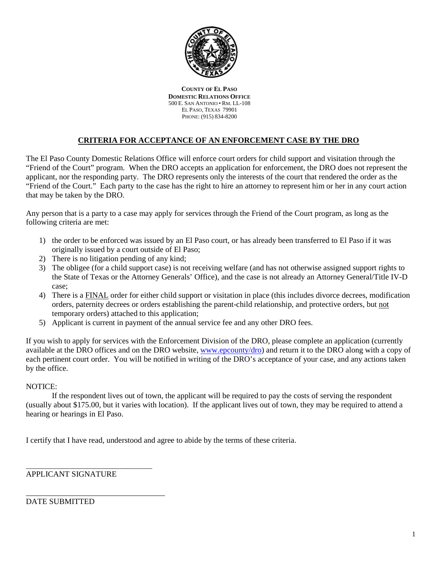

**COUNTY OF EL PASO DOMESTIC RELATIONS OFFICE** 500 E. SAN ANTONIO • RM. LL-108 EL PASO, TEXAS 79901 PHONE: (915) 834-8200

# **CRITERIA FOR ACCEPTANCE OF AN ENFORCEMENT CASE BY THE DRO**

The El Paso County Domestic Relations Office will enforce court orders for child support and visitation through the "Friend of the Court" program. When the DRO accepts an application for enforcement, the DRO does not represent the applicant, nor the responding party. The DRO represents only the interests of the court that rendered the order as the "Friend of the Court." Each party to the case has the right to hire an attorney to represent him or her in any court action that may be taken by the DRO.

Any person that is a party to a case may apply for services through the Friend of the Court program, as long as the following criteria are met:

- 1) the order to be enforced was issued by an El Paso court, or has already been transferred to El Paso if it was originally issued by a court outside of El Paso;
- 2) There is no litigation pending of any kind;
- 3) The obligee (for a child support case) is not receiving welfare (and has not otherwise assigned support rights to the State of Texas or the Attorney Generals' Office), and the case is not already an Attorney General/Title IV-D case;
- 4) There is a FINAL order for either child support or visitation in place (this includes divorce decrees, modification orders, paternity decrees or orders establishing the parent-child relationship, and protective orders, but not temporary orders) attached to this application;
- 5) Applicant is current in payment of the annual service fee and any other DRO fees.

If you wish to apply for services with the Enforcement Division of the DRO, please complete an application (currently available at the DRO offices and on the DRO website, www.epcounty/dro) and return it to the DRO along with a copy of each pertinent court order. You will be notified in writing of the DRO's acceptance of your case, and any actions taken by the office.

# NOTICE:

If the respondent lives out of town, the applicant will be required to pay the costs of serving the respondent (usually about \$175.00, but it varies with location). If the applicant lives out of town, they may be required to attend a hearing or hearings in El Paso.

I certify that I have read, understood and agree to abide by the terms of these criteria.

APPLICANT SIGNATURE

\_\_\_\_\_\_\_\_\_\_\_\_\_\_\_\_\_\_\_\_\_\_\_\_\_\_\_\_\_\_\_\_\_\_\_

\_\_\_\_\_\_\_\_\_\_\_\_\_\_\_\_\_\_\_\_\_\_\_\_\_\_\_\_\_\_\_\_\_\_\_

DATE SUBMITTED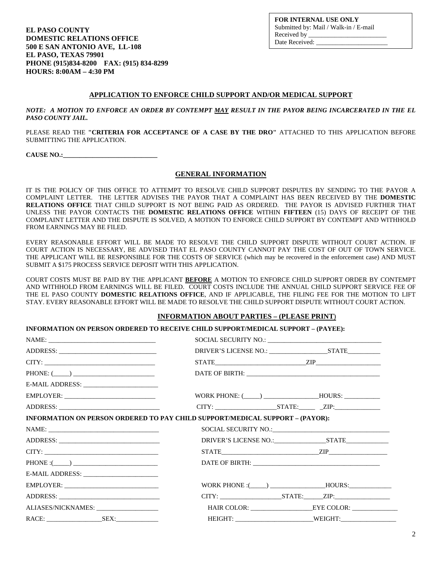**EL PASO COUNTY DOMESTIC RELATIONS OFFICE 500 E SAN ANTONIO AVE, LL-108 EL PASO, TEXAS 79901 PHONE (915)834-8200 FAX: (915) 834-8299 HOURS: 8:00AM – 4:30 PM** 

**FOR INTERNAL USE ONLY** Submitted by: Mail / Walk-in / E-mail Received by Date Received:

## **APPLICATION TO ENFORCE CHILD SUPPORT AND/OR MEDICAL SUPPORT**

*NOTE: A MOTION TO ENFORCE AN ORDER BY CONTEMPT MAY RESULT IN THE PAYOR BEING INCARCERATED IN THE EL PASO COUNTY JAIL.* 

PLEASE READ THE **"CRITERIA FOR ACCEPTANCE OF A CASE BY THE DRO"** ATTACHED TO THIS APPLICATION BEFORE SUBMITTING THE APPLICATION.

**CAUSE NO.:\_\_\_\_\_\_\_\_\_\_\_\_\_\_\_\_\_\_\_\_\_\_\_\_\_\_\_\_\_** 

#### **GENERAL INFORMATION**

IT IS THE POLICY OF THIS OFFICE TO ATTEMPT TO RESOLVE CHILD SUPPORT DISPUTES BY SENDING TO THE PAYOR A COMPLAINT LETTER. THE LETTER ADVISES THE PAYOR THAT A COMPLAINT HAS BEEN RECEIVED BY THE **DOMESTIC RELATIONS OFFICE** THAT CHILD SUPPORT IS NOT BEING PAID AS ORDERED. THE PAYOR IS ADVISED FURTHER THAT UNLESS THE PAYOR CONTACTS THE **DOMESTIC RELATIONS OFFICE** WITHIN **FIFTEEN** (15) DAYS OF RECEIPT OF THE COMPLAINT LETTER AND THE DISPUTE IS SOLVED, A MOTION TO ENFORCE CHILD SUPPORT BY CONTEMPT AND WITHHOLD FROM EARNINGS MAY BE FILED.

EVERY REASONABLE EFFORT WILL BE MADE TO RESOLVE THE CHILD SUPPORT DISPUTE WITHOUT COURT ACTION. IF COURT ACTION IS NECESSARY, BE ADVISED THAT EL PASO COUNTY CANNOT PAY THE COST OF OUT OF TOWN SERVICE. THE APPLICANT WILL BE RESPONSIBLE FOR THE COSTS OF SERVICE (which may be recovered in the enforcement case) AND MUST SUBMIT A \$175 PROCESS SERVICE DEPOSIT WITH THIS APPLICATION.

COURT COSTS MUST BE PAID BY THE APPLICANT **BEFORE** A MOTION TO ENFORCE CHILD SUPPORT ORDER BY CONTEMPT AND WITHHOLD FROM EARNINGS WILL BE FILED. COURT COSTS INCLUDE THE ANNUAL CHILD SUPPORT SERVICE FEE OF THE EL PASO COUNTY **DOMESTIC RELATIONS OFFICE**, AND IF APPLICABLE, THE FILING FEE FOR THE MOTION TO LIFT STAY. EVERY REASONABLE EFFORT WILL BE MADE TO RESOLVE THE CHILD SUPPORT DISPUTE WITHOUT COURT ACTION.

#### **INFORMATION ABOUT PARTIES – (PLEASE PRINT**)

#### **INFORMATION ON PERSON ORDERED TO RECEIVE CHILD SUPPORT/MEDICAL SUPPORT – (PAYEE):**

|                                           | $STATE$ $ZIP$                                                                        |
|-------------------------------------------|--------------------------------------------------------------------------------------|
| PHONE: (                                  |                                                                                      |
| E-MAIL ADDRESS: _________________________ |                                                                                      |
| EMPLOYER:                                 | WORK PHONE: (_____) ____________________HOURS: __________________________________    |
|                                           | $CITY:$ $ZIP:$ $ZIP:$                                                                |
|                                           | <b>INFORMATION ON PERSON ORDERED TO PAY CHILD SUPPORT/MEDICAL SUPPORT – (PAYOR):</b> |
|                                           |                                                                                      |
|                                           |                                                                                      |
|                                           | $STATE$ $ZIP$ $ZIP$                                                                  |
| $PHONE: (\_\_)$                           |                                                                                      |
|                                           |                                                                                      |
|                                           | WORK PHONE : ( ) HOURS:                                                              |
|                                           | $CITY:$ $STATE:$ $ZIP:$                                                              |
| ALIASES/NICKNAMES: ___________________    |                                                                                      |
|                                           |                                                                                      |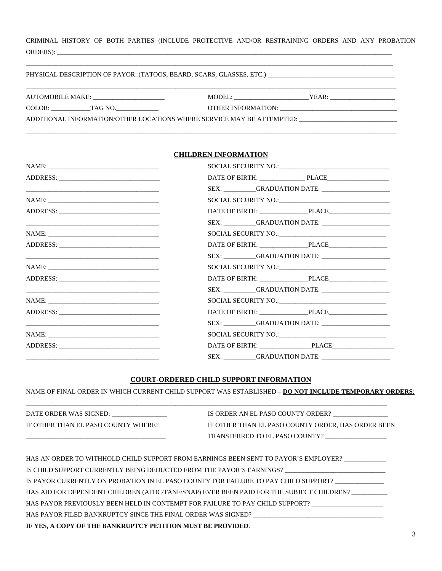CRIMINAL HISTORY OF BOTH PARTIES (INCLUDE PROTECTIVE AND/OR RESTRAINING ORDERS AND ANY PROBATION ORDERS): \_\_\_\_\_\_\_\_\_\_\_\_\_\_\_\_\_\_\_\_\_\_\_\_\_\_\_\_\_\_\_\_\_\_\_\_\_\_\_\_\_\_\_\_\_\_\_\_\_\_\_\_\_\_\_\_\_\_\_\_\_\_\_\_\_\_\_\_\_\_\_\_\_\_\_\_\_\_\_\_\_\_\_\_\_\_\_\_\_\_\_\_\_\_\_\_\_\_\_\_\_\_\_

#### PHYSICAL DESCRIPTION OF PAYOR: (TATOOS, BEARD, SCARS, GLASSES, ETC.) \_\_\_\_\_\_\_\_\_\_\_\_\_\_\_\_\_\_\_\_\_\_\_\_\_\_\_\_\_\_\_\_\_\_\_\_\_\_\_

| AUTOMOBILE MAKE:                                                       | MODEL:             | YEAR: |
|------------------------------------------------------------------------|--------------------|-------|
| COLOR:<br>TAG NO.                                                      | OTHER INFORMATION: |       |
| ADDITIONAL INFORMATION/OTHER LOCATIONS WHERE SERVICE MAY BE ATTEMPTED: |                    |       |

\_\_\_\_\_\_\_\_\_\_\_\_\_\_\_\_\_\_\_\_\_\_\_\_\_\_\_\_\_\_\_\_\_\_\_\_\_\_\_\_\_\_\_\_\_\_\_\_\_\_\_\_\_\_\_\_\_\_\_\_\_\_\_\_\_\_\_\_\_\_\_\_\_\_\_\_\_\_\_\_\_\_\_\_\_\_\_\_\_\_\_\_\_\_\_\_\_\_\_\_\_\_\_\_\_\_\_\_\_\_\_\_\_\_

\_\_\_\_\_\_\_\_\_\_\_\_\_\_\_\_\_\_\_\_\_\_\_\_\_\_\_\_\_\_\_\_\_\_\_\_\_\_\_\_\_\_\_\_\_\_\_\_\_\_\_\_\_\_\_\_\_\_\_\_\_\_\_\_\_\_\_\_\_\_\_\_\_\_\_\_\_\_\_\_\_\_\_\_\_\_\_\_\_\_\_\_\_\_\_\_\_\_\_\_\_\_\_\_\_\_\_\_\_\_\_\_\_

# **CHILDREN INFORMATION**

| <u> 1989 - Johann Stoff, amerikansk politiker (d. 1989)</u>                                                           |                       |  |
|-----------------------------------------------------------------------------------------------------------------------|-----------------------|--|
|                                                                                                                       |                       |  |
|                                                                                                                       |                       |  |
| <u> 1989 - Johann Stoff, amerikansk politiker (d. 1989)</u>                                                           | SEX: GRADUATION DATE: |  |
|                                                                                                                       |                       |  |
| ADDRESS:                                                                                                              |                       |  |
|                                                                                                                       |                       |  |
|                                                                                                                       |                       |  |
|                                                                                                                       |                       |  |
| <u> 1989 - Johann Stoff, deutscher Stoff, der Stoff, der Stoff, der Stoff, der Stoff, der Stoff, der Stoff, der S</u> |                       |  |
|                                                                                                                       |                       |  |
|                                                                                                                       | DATE OF BIRTH: PLACE  |  |
| <u> 1989 - Andrea Stadt Britain, amerikansk politiker (</u>                                                           | SEX: GRADUATION DATE: |  |
|                                                                                                                       |                       |  |
|                                                                                                                       |                       |  |
|                                                                                                                       |                       |  |

### **COURT-ORDERED CHILD SUPPORT INFORMATION**

NAME OF FINAL ORDER IN WHICH CURRENT CHILD SUPPORT WAS ESTABLISHED – **DO NOT INCLUDE TEMPORARY ORDERS**:

| DATE ORDER WAS SIGNED:              | IS ORDER AN EL PASO COUNTY ORDER?                  |
|-------------------------------------|----------------------------------------------------|
| IF OTHER THAN EL PASO COUNTY WHERE? | IF OTHER THAN EL PASO COUNTY ORDER, HAS ORDER BEEN |
|                                     | TRANSFERRED TO EL PASO COUNTY?                     |

\_\_\_\_\_\_\_\_\_\_\_\_\_\_\_\_\_\_\_\_\_\_\_\_\_\_\_\_\_\_\_\_\_\_\_\_\_\_\_\_\_\_\_\_\_\_\_\_\_\_\_\_\_\_\_\_\_\_\_\_\_\_\_\_\_\_\_\_\_\_\_\_\_\_\_\_\_\_\_\_\_\_\_\_\_\_\_\_\_\_\_\_\_\_\_\_\_\_\_\_\_\_\_\_\_\_\_\_\_\_\_

| IF YES. A COPY OF THE BANKRUPTCY PETITION MUST BE PROVIDED.                                         |
|-----------------------------------------------------------------------------------------------------|
|                                                                                                     |
| HAS PAYOR PREVIOUSLY BEEN HELD IN CONTEMPT FOR FAILURE TO PAY CHILD SUPPORT?                        |
| HAS AID FOR DEPENDENT CHILDREN (AFDC/TANF/SNAP) EVER BEEN PAID FOR THE SUBJECT CHILDREN?            |
| IS PAYOR CURRENTLY ON PROBATION IN EL PASO COUNTY FOR FAILURE TO PAY CHILD SUPPORT?                 |
| IS CHILD SUPPORT CURRENTLY BEING DEDUCTED FROM THE PAYOR'S EARNINGS? ______________________________ |
| HAS AN ORDER TO WITHHOLD CHILD SUPPORT FROM EARNINGS BEEN SENT TO PAYOR'S EMPLOYER?                 |

3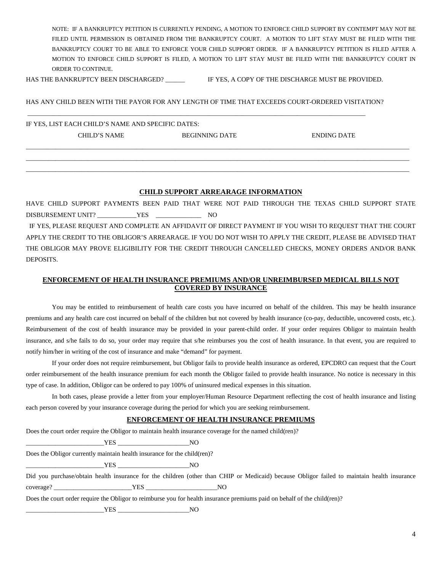NOTE: IF A BANKRUPTCY PETITION IS CURRENTLY PENDING, A MOTION TO ENFORCE CHILD SUPPORT BY CONTEMPT MAY NOT BE FILED UNTIL PERMISSION IS OBTAINED FROM THE BANKRUPTCY COURT. A MOTION TO LIFT STAY MUST BE FILED WITH THE BANKRUPTCY COURT TO BE ABLE TO ENFORCE YOUR CHILD SUPPORT ORDER. IF A BANKRUPTCY PETITION IS FILED AFTER A MOTION TO ENFORCE CHILD SUPPORT IS FILED, A MOTION TO LIFT STAY MUST BE FILED WITH THE BANKRUPTCY COURT IN ORDER TO CONTINUE.

HAS THE BANKRUPTCY BEEN DISCHARGED? IF YES, A COPY OF THE DISCHARGE MUST BE PROVIDED.

\_\_\_\_\_\_\_\_\_\_\_\_\_\_\_\_\_\_\_\_\_\_\_\_\_\_\_\_\_\_\_\_\_\_\_\_\_\_\_\_\_\_\_\_\_\_\_\_\_\_\_\_\_\_\_\_\_\_\_\_\_\_\_\_\_\_\_\_\_\_\_\_\_\_\_\_\_\_\_\_\_\_\_\_\_\_\_\_\_\_\_\_\_\_\_\_\_\_\_\_\_\_\_\_

HAS ANY CHILD BEEN WITH THE PAYOR FOR ANY LENGTH OF TIME THAT EXCEEDS COURT-ORDERED VISITATION?

IF YES, LIST EACH CHILD'S NAME AND SPECIFIC DATES: CHILD'S NAME BEGINNING DATE ENDING DATE

## **CHILD SUPPORT ARREARAGE INFORMATION**

\_\_\_\_\_\_\_\_\_\_\_\_\_\_\_\_\_\_\_\_\_\_\_\_\_\_\_\_\_\_\_\_\_\_\_\_\_\_\_\_\_\_\_\_\_\_\_\_\_\_\_\_\_\_\_\_\_\_\_\_\_\_\_\_\_\_\_\_\_\_\_\_\_\_\_\_\_\_\_\_\_\_\_\_\_\_\_\_\_\_\_\_\_\_\_\_\_\_\_\_\_\_\_\_\_\_\_\_\_\_\_\_\_\_\_\_\_\_ \_\_\_\_\_\_\_\_\_\_\_\_\_\_\_\_\_\_\_\_\_\_\_\_\_\_\_\_\_\_\_\_\_\_\_\_\_\_\_\_\_\_\_\_\_\_\_\_\_\_\_\_\_\_\_\_\_\_\_\_\_\_\_\_\_\_\_\_\_\_\_\_\_\_\_\_\_\_\_\_\_\_\_\_\_\_\_\_\_\_\_\_\_\_\_\_\_\_\_\_\_\_\_\_\_\_\_\_\_\_\_\_\_\_\_\_\_\_ \_\_\_\_\_\_\_\_\_\_\_\_\_\_\_\_\_\_\_\_\_\_\_\_\_\_\_\_\_\_\_\_\_\_\_\_\_\_\_\_\_\_\_\_\_\_\_\_\_\_\_\_\_\_\_\_\_\_\_\_\_\_\_\_\_\_\_\_\_\_\_\_\_\_\_\_\_\_\_\_\_\_\_\_\_\_\_\_\_\_\_\_\_\_\_\_\_\_\_\_\_\_\_\_\_\_\_\_\_\_\_\_\_\_\_\_\_\_

HAVE CHILD SUPPORT PAYMENTS BEEN PAID THAT WERE NOT PAID THROUGH THE TEXAS CHILD SUPPORT STATE DISBURSEMENT UNIT? \_\_\_\_\_\_\_\_\_\_\_\_YES \_\_\_\_\_\_\_\_\_\_\_\_\_\_ NO IF YES, PLEASE REQUEST AND COMPLETE AN AFFIDAVIT OF DIRECT PAYMENT IF YOU WISH TO REQUEST THAT THE COURT APPLY THE CREDIT TO THE OBLIGOR'S ARREARAGE. IF YOU DO NOT WISH TO APPLY THE CREDIT, PLEASE BE ADVISED THAT THE OBLIGOR MAY PROVE ELIGIBILITY FOR THE CREDIT THROUGH CANCELLED CHECKS, MONEY ORDERS AND/OR BANK DEPOSITS.

# **ENFORCEMENT OF HEALTH INSURANCE PREMIUMS AND/OR UNREIMBURSED MEDICAL BILLS NOT COVERED BY INSURANCE**

You may be entitled to reimbursement of health care costs you have incurred on behalf of the children. This may be health insurance premiums and any health care cost incurred on behalf of the children but not covered by health insurance (co-pay, deductible, uncovered costs, etc.). Reimbursement of the cost of health insurance may be provided in your parent-child order. If your order requires Obligor to maintain health insurance, and s/he fails to do so, your order may require that s/he reimburses you the cost of health insurance. In that event, you are required to notify him/her in writing of the cost of insurance and make "demand" for payment.

If your order does not require reimbursement, but Obligor fails to provide health insurance as ordered, EPCDRO can request that the Court order reimbursement of the health insurance premium for each month the Obligor failed to provide health insurance. No notice is necessary in this type of case. In addition, Obligor can be ordered to pay 100% of uninsured medical expenses in this situation.

In both cases, please provide a letter from your employer/Human Resource Department reflecting the cost of health insurance and listing each person covered by your insurance coverage during the period for which you are seeking reimbursement.

## **ENFORCEMENT OF HEALTH INSURANCE PREMIUMS**

| Does the court order require the Obligor to maintain health insurance coverage for the named child(ren)? |     |                                                                                                                                             |
|----------------------------------------------------------------------------------------------------------|-----|---------------------------------------------------------------------------------------------------------------------------------------------|
| YES NO                                                                                                   |     |                                                                                                                                             |
| Does the Obligor currently maintain health insurance for the child (ren)?                                |     |                                                                                                                                             |
|                                                                                                          | NO. |                                                                                                                                             |
|                                                                                                          |     | Did you purchase/obtain health insurance for the children (other than CHIP or Medicaid) because Obligor failed to maintain health insurance |
| coverage? NO YES NO                                                                                      |     |                                                                                                                                             |
|                                                                                                          |     | Does the court order require the Obligor to reimburse you for health insurance premiums paid on behalf of the child(ren)?                   |
| <b>YES</b><br>the control of the control of the control of                                               | NO. |                                                                                                                                             |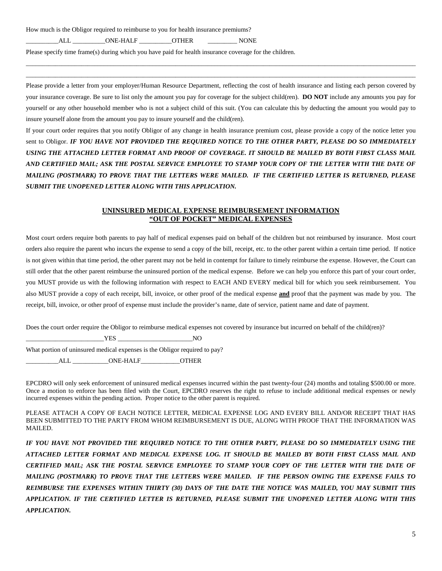How much is the Obligor required to reimburse to you for health insurance premiums?

ALL \_\_\_\_\_\_\_\_\_\_\_\_\_\_ONE-HALF \_\_\_\_\_\_\_\_\_\_\_OTHER \_\_\_\_\_\_\_\_\_\_\_\_\_\_\_\_\_\_\_\_\_NONE

Please specify time frame(s) during which you have paid for health insurance coverage for the children.

Please provide a letter from your employer/Human Resource Department, reflecting the cost of health insurance and listing each person covered by your insurance coverage. Be sure to list only the amount you pay for coverage for the subject child(ren). **DO NOT** include any amounts you pay for yourself or any other household member who is not a subject child of this suit. (You can calculate this by deducting the amount you would pay to insure yourself alone from the amount you pay to insure yourself and the child(ren).

\_\_\_\_\_\_\_\_\_\_\_\_\_\_\_\_\_\_\_\_\_\_\_\_\_\_\_\_\_\_\_\_\_\_\_\_\_\_\_\_\_\_\_\_\_\_\_\_\_\_\_\_\_\_\_\_\_\_\_\_\_\_\_\_\_\_\_\_\_\_\_\_\_\_\_\_\_\_\_\_\_\_\_\_\_\_\_\_\_\_\_\_\_\_\_\_\_\_\_\_\_\_\_\_\_\_\_\_\_\_\_\_\_\_\_\_\_\_\_\_ \_\_\_\_\_\_\_\_\_\_\_\_\_\_\_\_\_\_\_\_\_\_\_\_\_\_\_\_\_\_\_\_\_\_\_\_\_\_\_\_\_\_\_\_\_\_\_\_\_\_\_\_\_\_\_\_\_\_\_\_\_\_\_\_\_\_\_\_\_\_\_\_\_\_\_\_\_\_\_\_\_\_\_\_\_\_\_\_\_\_\_\_\_\_\_\_\_\_\_\_\_\_\_\_\_\_\_\_\_\_\_\_\_\_\_\_\_\_\_\_

If your court order requires that you notify Obligor of any change in health insurance premium cost, please provide a copy of the notice letter you sent to Obligor. *IF YOU HAVE NOT PROVIDED THE REQUIRED NOTICE TO THE OTHER PARTY, PLEASE DO SO IMMEDIATELY USING THE ATTACHED LETTER FORMAT AND PROOF OF COVERAGE. IT SHOULD BE MAILED BY BOTH FIRST CLASS MAIL AND CERTIFIED MAIL; ASK THE POSTAL SERVICE EMPLOYEE TO STAMP YOUR COPY OF THE LETTER WITH THE DATE OF MAILING (POSTMARK) TO PROVE THAT THE LETTERS WERE MAILED. IF THE CERTIFIED LETTER IS RETURNED, PLEASE SUBMIT THE UNOPENED LETTER ALONG WITH THIS APPLICATION.* 

#### **UNINSURED MEDICAL EXPENSE REIMBURSEMENT INFORMATION "OUT OF POCKET" MEDICAL EXPENSES**

Most court orders require both parents to pay half of medical expenses paid on behalf of the children but not reimbursed by insurance. Most court orders also require the parent who incurs the expense to send a copy of the bill, receipt, etc. to the other parent within a certain time period. If notice is not given within that time period, the other parent may not be held in contempt for failure to timely reimburse the expense. However, the Court can still order that the other parent reimburse the uninsured portion of the medical expense. Before we can help you enforce this part of your court order, you MUST provide us with the following information with respect to EACH AND EVERY medical bill for which you seek reimbursement. You also MUST provide a copy of each receipt, bill, invoice, or other proof of the medical expense **and** proof that the payment was made by you. The receipt, bill, invoice, or other proof of expense must include the provider's name, date of service, patient name and date of payment.

Does the court order require the Obligor to reimburse medical expenses not covered by insurance but incurred on behalf of the child(ren)?

\_\_\_\_\_\_\_\_\_\_\_\_\_\_\_\_\_\_\_\_\_\_\_\_YES \_\_\_\_\_\_\_\_\_\_\_\_\_\_\_\_\_\_\_\_\_\_\_NO What portion of uninsured medical expenses is the Obligor required to pay? ALL GNE-HALF OTHER

EPCDRO will only seek enforcement of uninsured medical expenses incurred within the past twenty-four (24) months and totaling \$500.00 or more. Once a motion to enforce has been filed with the Court, EPCDRO reserves the right to refuse to include additional medical expenses or newly incurred expenses within the pending action. Proper notice to the other parent is required.

PLEASE ATTACH A COPY OF EACH NOTICE LETTER, MEDICAL EXPENSE LOG AND EVERY BILL AND/OR RECEIPT THAT HAS BEEN SUBMITTED TO THE PARTY FROM WHOM REIMBURSEMENT IS DUE, ALONG WITH PROOF THAT THE INFORMATION WAS MAILED.

*IF YOU HAVE NOT PROVIDED THE REQUIRED NOTICE TO THE OTHER PARTY, PLEASE DO SO IMMEDIATELY USING THE ATTACHED LETTER FORMAT AND MEDICAL EXPENSE LOG. IT SHOULD BE MAILED BY BOTH FIRST CLASS MAIL AND CERTIFIED MAIL; ASK THE POSTAL SERVICE EMPLOYEE TO STAMP YOUR COPY OF THE LETTER WITH THE DATE OF MAILING (POSTMARK) TO PROVE THAT THE LETTERS WERE MAILED. IF THE PERSON OWING THE EXPENSE FAILS TO REIMBURSE THE EXPENSES WITHIN THIRTY (30) DAYS OF THE DATE THE NOTICE WAS MAILED, YOU MAY SUBMIT THIS APPLICATION. IF THE CERTIFIED LETTER IS RETURNED, PLEASE SUBMIT THE UNOPENED LETTER ALONG WITH THIS APPLICATION.*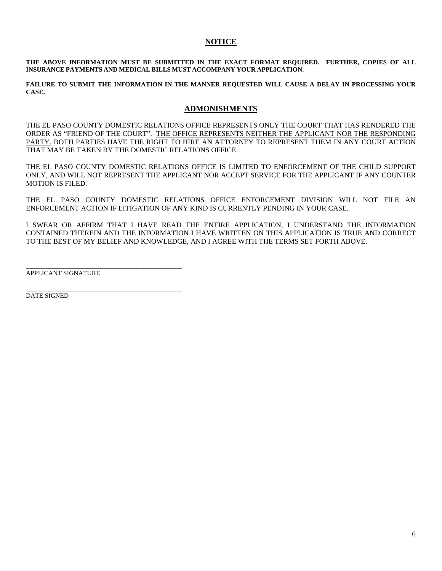## **NOTICE**

**THE ABOVE INFORMATION MUST BE SUBMITTED IN THE EXACT FORMAT REQUIRED. FURTHER, COPIES OF ALL INSURANCE PAYMENTS AND MEDICAL BILLS MUST ACCOMPANY YOUR APPLICATION.** 

**FAILURE TO SUBMIT THE INFORMATION IN THE MANNER REQUESTED WILL CAUSE A DELAY IN PROCESSING YOUR CASE.** 

## **ADMONISHMENTS**

THE EL PASO COUNTY DOMESTIC RELATIONS OFFICE REPRESENTS ONLY THE COURT THAT HAS RENDERED THE ORDER AS "FRIEND OF THE COURT". THE OFFICE REPRESENTS NEITHER THE APPLICANT NOR THE RESPONDING PARTY. BOTH PARTIES HAVE THE RIGHT TO HIRE AN ATTORNEY TO REPRESENT THEM IN ANY COURT ACTION THAT MAY BE TAKEN BY THE DOMESTIC RELATIONS OFFICE.

THE EL PASO COUNTY DOMESTIC RELATIONS OFFICE IS LIMITED TO ENFORCEMENT OF THE CHILD SUPPORT ONLY, AND WILL NOT REPRESENT THE APPLICANT NOR ACCEPT SERVICE FOR THE APPLICANT IF ANY COUNTER MOTION IS FILED.

THE EL PASO COUNTY DOMESTIC RELATIONS OFFICE ENFORCEMENT DIVISION WILL NOT FILE AN ENFORCEMENT ACTION IF LITIGATION OF ANY KIND IS CURRENTLY PENDING IN YOUR CASE.

I SWEAR OR AFFIRM THAT I HAVE READ THE ENTIRE APPLICATION, I UNDERSTAND THE INFORMATION CONTAINED THEREIN AND THE INFORMATION I HAVE WRITTEN ON THIS APPLICATION IS TRUE AND CORRECT TO THE BEST OF MY BELIEF AND KNOWLEDGE, AND I AGREE WITH THE TERMS SET FORTH ABOVE.

APPLICANT SIGNATURE

\_\_\_\_\_\_\_\_\_\_\_\_\_\_\_\_\_\_\_\_\_\_\_\_\_\_\_\_\_\_\_\_\_\_\_\_\_\_\_\_\_\_\_\_\_\_\_\_

\_\_\_\_\_\_\_\_\_\_\_\_\_\_\_\_\_\_\_\_\_\_\_\_\_\_\_\_\_\_\_\_\_\_\_\_\_\_\_\_\_\_\_\_\_\_\_\_

DATE SIGNED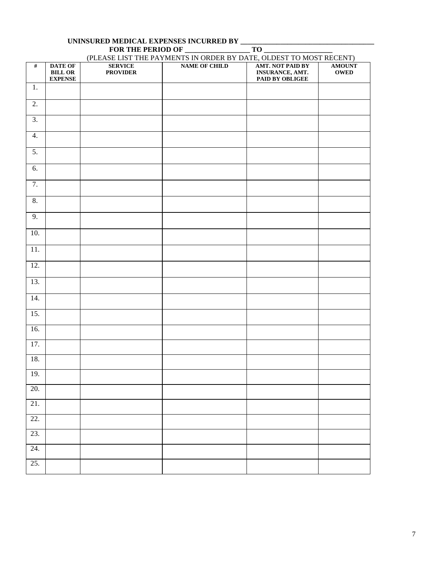|                  | FOR THE PERIOD OF<br>$TO$ __<br>(PLEASE LIST THE PAYMENTS IN ORDER BY DATE, OLDEST TO MOST RECENT) |                                   |                      |                                                               |                              |
|------------------|----------------------------------------------------------------------------------------------------|-----------------------------------|----------------------|---------------------------------------------------------------|------------------------------|
| $\overline{\#}$  | <b>DATE OF</b><br>$\operatorname{BILL}$ OR<br>${\bf EXPENSE}$                                      | <b>SERVICE</b><br><b>PROVIDER</b> | <b>NAME OF CHILD</b> | <b>AMT. NOT PAID BY</b><br>INSURANCE, AMT.<br>PAID BY OBLIGEE | <b>AMOUNT</b><br><b>OWED</b> |
| 1.               |                                                                                                    |                                   |                      |                                                               |                              |
| $\overline{2}$ . |                                                                                                    |                                   |                      |                                                               |                              |
| $\overline{3}$ . |                                                                                                    |                                   |                      |                                                               |                              |
| 4.               |                                                                                                    |                                   |                      |                                                               |                              |
| 5.               |                                                                                                    |                                   |                      |                                                               |                              |
| 6.               |                                                                                                    |                                   |                      |                                                               |                              |
| $\overline{7}$ . |                                                                                                    |                                   |                      |                                                               |                              |
| 8.               |                                                                                                    |                                   |                      |                                                               |                              |
| 9.               |                                                                                                    |                                   |                      |                                                               |                              |
| 10.              |                                                                                                    |                                   |                      |                                                               |                              |
| 11.              |                                                                                                    |                                   |                      |                                                               |                              |
| 12.              |                                                                                                    |                                   |                      |                                                               |                              |
| 13.              |                                                                                                    |                                   |                      |                                                               |                              |
| 14.              |                                                                                                    |                                   |                      |                                                               |                              |
| 15.              |                                                                                                    |                                   |                      |                                                               |                              |
| 16.              |                                                                                                    |                                   |                      |                                                               |                              |
| 17.              |                                                                                                    |                                   |                      |                                                               |                              |
| 18.              |                                                                                                    |                                   |                      |                                                               |                              |
| 19.              |                                                                                                    |                                   |                      |                                                               |                              |
| 20.              |                                                                                                    |                                   |                      |                                                               |                              |
| $21.$            |                                                                                                    |                                   |                      |                                                               |                              |
| 22.              |                                                                                                    |                                   |                      |                                                               |                              |
| 23.              |                                                                                                    |                                   |                      |                                                               |                              |
| 24.              |                                                                                                    |                                   |                      |                                                               |                              |
| 25.              |                                                                                                    |                                   |                      |                                                               |                              |

# **UNINSURED MEDICAL EXPENSES INCURRED BY \_\_\_\_\_\_\_\_\_\_\_\_\_\_\_\_\_\_\_\_\_\_\_\_\_\_\_\_\_\_\_\_\_\_\_\_\_**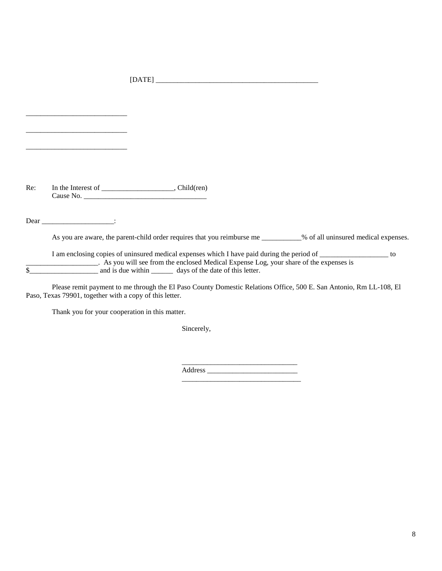[DATE] \_\_\_\_\_\_\_\_\_\_\_\_\_\_\_\_\_\_\_\_\_\_\_\_\_\_\_\_\_\_\_\_\_\_\_\_\_\_\_\_\_\_\_\_\_

Re: In the Interest of \_\_\_\_\_\_\_\_\_\_\_\_\_\_\_\_\_, Child(ren) Cause No. \_\_\_\_\_\_\_\_\_\_\_\_\_\_\_\_\_\_\_\_\_\_\_\_\_\_\_\_\_\_\_\_\_\_

Dear \_\_\_\_\_\_\_\_\_\_\_\_\_\_\_\_\_\_\_\_\_\_\_\_\_\_\_:

\_\_\_\_\_\_\_\_\_\_\_\_\_\_\_\_\_\_\_\_\_\_\_\_\_\_\_\_

\_\_\_\_\_\_\_\_\_\_\_\_\_\_\_\_\_\_\_\_\_\_\_\_\_\_\_\_

\_\_\_\_\_\_\_\_\_\_\_\_\_\_\_\_\_\_\_\_\_\_\_\_\_\_\_\_

As you are aware, the parent-child order requires that you reimburse me \_\_\_\_\_\_\_\_\_% of all uninsured medical expenses.

I am enclosing copies of uninsured medical expenses which I have paid during the period of \_\_\_\_\_\_\_\_\_\_\_\_\_\_\_\_\_\_\_ to \_\_\_\_\_\_\_\_\_\_\_\_\_\_\_\_\_\_\_\_. As you will see from the enclosed Medical Expense Log, your share of the expenses is \$\_\_\_\_\_\_\_\_\_\_\_\_\_\_\_\_\_\_\_ and is due within \_\_\_\_\_\_ days of the date of this letter.

Please remit payment to me through the El Paso County Domestic Relations Office, 500 E. San Antonio, Rm LL-108, El Paso, Texas 79901, together with a copy of this letter.

Thank you for your cooperation in this matter.

Sincerely,

\_\_\_\_\_\_\_\_\_\_\_\_\_\_\_\_\_\_\_\_\_\_\_\_\_\_\_\_\_\_\_\_ Address \_\_\_\_\_\_\_\_\_\_\_\_\_\_\_\_\_\_\_\_\_\_\_\_\_ \_\_\_\_\_\_\_\_\_\_\_\_\_\_\_\_\_\_\_\_\_\_\_\_\_\_\_\_\_\_\_\_\_